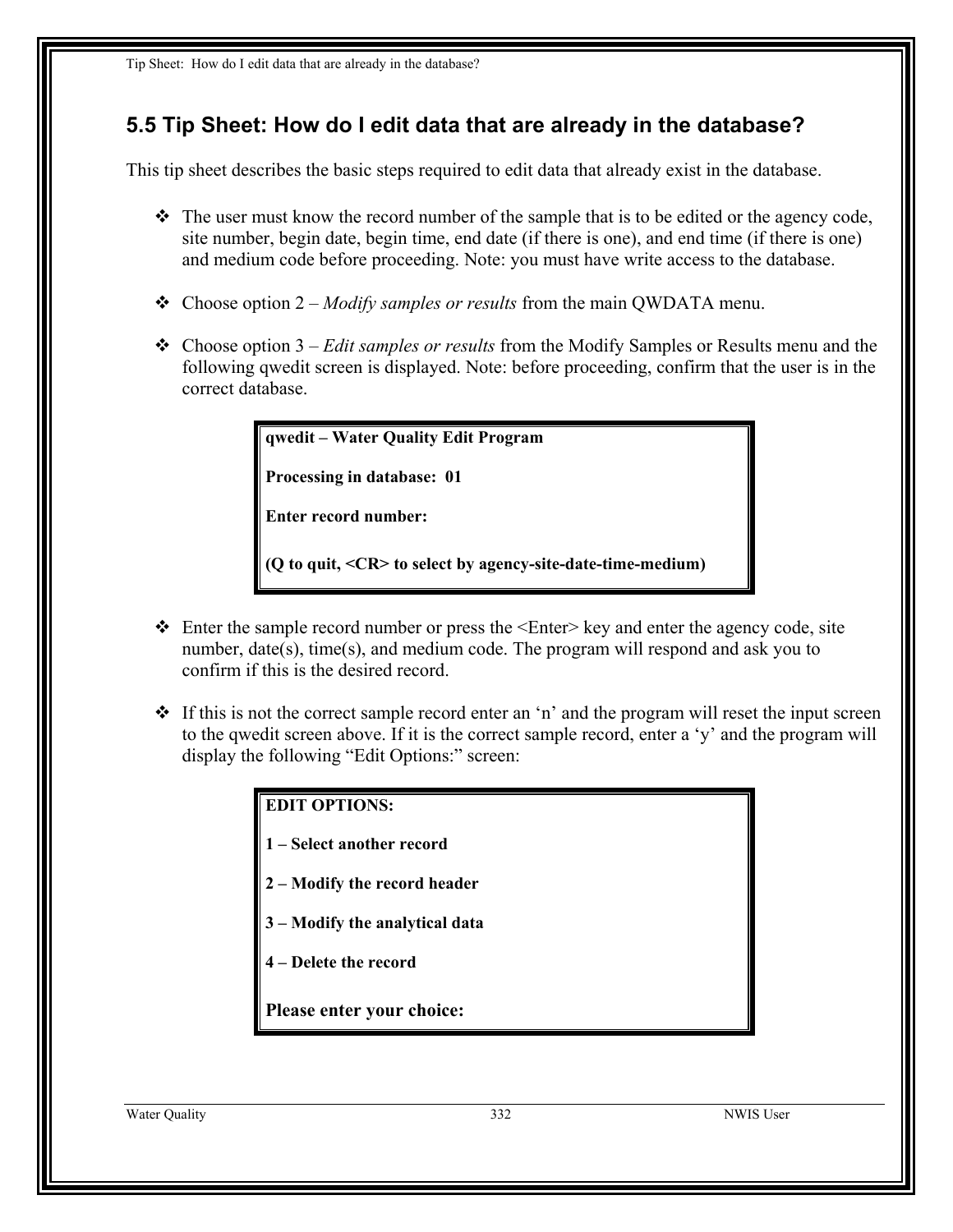## **5.5 Tip Sheet: How do I edit data that are already in the database?**

This tip sheet describes the basic steps required to edit data that already exist in the database.

- $\div$  The user must know the record number of the sample that is to be edited or the agency code, site number, begin date, begin time, end date (if there is one), and end time (if there is one) and medium code before proceeding. Note: you must have write access to the database.
- Choose option 2 *Modify samples or results* from the main QWDATA menu.
- Choose option 3 *Edit samples or results* from the Modify Samples or Results menu and the following qwedit screen is displayed. Note: before proceeding, confirm that the user is in the correct database.

**qwedit – Water Quality Edit Program**

**Processing in database: 01** 

**Enter record number:** 

**(Q to quit, <CR> to select by agency-site-date-time-medium)**

- $\triangleleft$  Enter the sample record number or press the  $\triangleleft$ Enter $\geq$  key and enter the agency code, site number, date(s), time(s), and medium code. The program will respond and ask you to confirm if this is the desired record.
- $\div$  If this is not the correct sample record enter an 'n' and the program will reset the input screen to the qwedit screen above. If it is the correct sample record, enter a 'y' and the program will display the following "Edit Options:" screen:

**EDIT OPTIONS:** 

- **1 Select another record**
- **2 Modify the record header**
- **3 Modify the analytical data**
- **4 Delete the record**

**Please enter your choice:** 

Water Quality 332 NWIS User